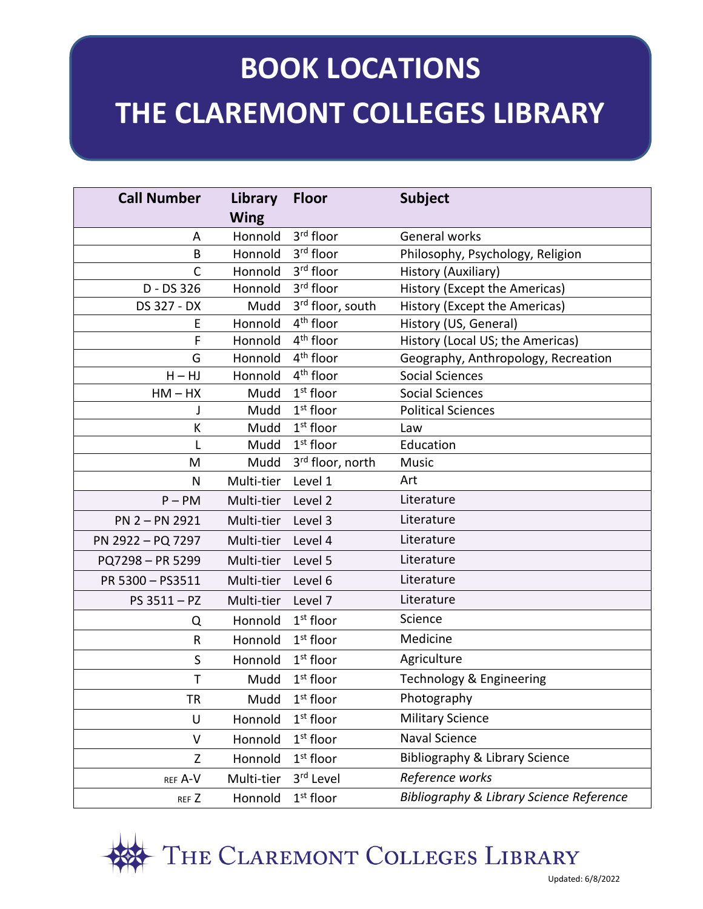# **BOOK COLLEG BOOK LOCATIONS THE CLAREMONT COLLEGES LIBRARY**

| <b>Call Number</b> | Library     | <b>Floor</b>                 | <b>Subject</b>                                      |
|--------------------|-------------|------------------------------|-----------------------------------------------------|
|                    | <b>Wing</b> |                              |                                                     |
| A                  | Honnold     | 3 <sup>rd</sup> floor        | General works                                       |
| B                  | Honnold     | 3rd floor                    | Philosophy, Psychology, Religion                    |
| $\mathsf{C}$       | Honnold     | 3 <sup>rd</sup> floor        | History (Auxiliary)                                 |
| D - DS 326         | Honnold     | 3rd floor                    | History (Except the Americas)                       |
| DS 327 - DX        | Mudd        | 3rd floor, south             | History (Except the Americas)                       |
| E                  | Honnold     | 4 <sup>th</sup> floor        | History (US, General)                               |
| F                  | Honnold     | $4th$ floor                  | History (Local US; the Americas)                    |
| G                  | Honnold     | 4 <sup>th</sup> floor        | Geography, Anthropology, Recreation                 |
| $H - HJ$           | Honnold     | 4 <sup>th</sup> floor        | <b>Social Sciences</b>                              |
| $HM - HX$          | Mudd        | $1st$ floor                  | <b>Social Sciences</b>                              |
|                    | Mudd        | $1st$ floor                  | <b>Political Sciences</b>                           |
| К                  | Mudd        | 1 <sup>st</sup> floor        | Law                                                 |
| L                  | Mudd        | $1st$ floor                  | Education                                           |
| M                  | Mudd        | 3 <sup>rd</sup> floor, north | Music                                               |
| N                  | Multi-tier  | Level 1                      | Art                                                 |
| $P - PM$           | Multi-tier  | Level 2                      | Literature                                          |
| PN 2 - PN 2921     | Multi-tier  | Level 3                      | Literature                                          |
| PN 2922 - PQ 7297  | Multi-tier  | Level 4                      | Literature                                          |
| PQ7298 - PR 5299   | Multi-tier  | Level 5                      | Literature                                          |
| PR 5300 - PS3511   | Multi-tier  | Level 6                      | Literature                                          |
| PS 3511 - PZ       | Multi-tier  | Level 7                      | Literature                                          |
| Q                  | Honnold     | $1st$ floor                  | Science                                             |
| R                  | Honnold     | $1st$ floor                  | Medicine                                            |
| S                  | Honnold     | $1st$ floor                  | Agriculture                                         |
| Т                  | Mudd        | $1st$ floor                  | Technology & Engineering                            |
| ΤR                 | Mudd        | $1st$ floor                  | Photography                                         |
| U                  | Honnold     | $1st$ floor                  | <b>Military Science</b>                             |
| V                  | Honnold     | $1st$ floor                  | Naval Science                                       |
| Z                  | Honnold     | $1st$ floor                  | Bibliography & Library Science                      |
| REF A-V            | Multi-tier  | 3rd Level                    | Reference works                                     |
| REF Z              | Honnold     | 1 <sup>st</sup> floor        | <b>Bibliography &amp; Library Science Reference</b> |